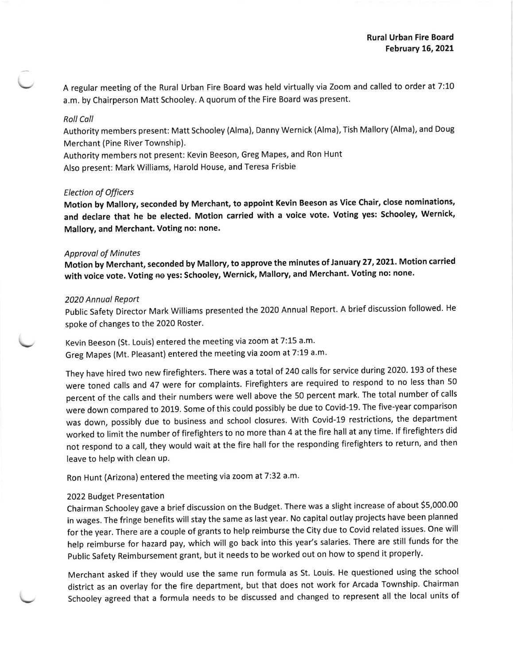A regular meeting of the Rural Urban Fire Board was held virtually via Zoom and called to order at 7:10 a.m. by Chairperson Matt Schooley. A quorum of the Fire Board was present.

# Roll Coll

Authority members present: Matt schooley (Alma), Danny wernick (Alma), Tish Mallory (Alma), and Doug Merchant (Pine River Township).

Authority members not present: Kevin Beeson, Greg Mapes, and Ron Hunt Also present: Mark Williams, Harold House, and Teresa Frisbie

## Election of Officers

Motion by Mallory, seconded by Merchant, to appoint Kevin Beeson as Vice Chair, close nominations, and declare that he be elected. Motion carried with a voice vote. Voting yes: Schooley, Wernick, Mallory, and Merchant. Voting no: none.

### **Approval of Minutes**

Motion by Merchant, seconded by Mallory, to approve the minutes of January 27, 2021. Motion carried with voice vote. Voting no yes: Schooley, Wernick, Mallory, and Merchant. Voting no: none.

### 2020 Annuol Report

public Safety Director Mark Williams presented the 2020 Annual Report. A brief discussion followed. He spoke of changes to the 2020 Roster.

Kevin Beeson (St. Louis) entered the meeting via zoom at 7:15 a.m. Greg Mapes (Mt. Pleasant) entered the meeting via zoom at 7:19 a m'

They have hired two new firefighters. There was a total of 240 calls for service during 2020. 193 of these were toned calls and 47 were for complaints. Firefighters are required to respond to no less than 50 percent of the calls and their numbers were well above the 50 percent mark. The total number of calls were down compared to 2019. Some of this could possibly be due to Covid-19. The five-year comparison was down, possibly due to business and school closures. With Covid-1g restrictions, the department worked to limit the number of firefighters to no more than 4 at the fire hall at any time. If firefighters did not respond to a call, they would wait at the fire hall for the responding firefighters to return, and then leave to help with clean uP.

Ron Hunt (Arizona) entered the meeting via zoom at 7:32 a.m.

### 2022 Budget Presentation

chairman schooley gave a brief discussion on the Budget. There was a slight increase of about \$5,000.00 in wages. The fringe benefits will stay the same as last year. No capital outlay projects have been planned for the year. There are a couple of grants to help reimburse the City due to Covid related issues. One will help reimburse for hazard pay, which will go back into this year's salaries. There are still funds for the public safety Reimbursement grant, but it needs to be worked out on how to spend it properly.

Merchant asked if they would use the same run formula as 5t. Louis. He questioned using the school district as an overlay for the fire department, but that does not work for Arcada Township. Chalrman Schooley agreed that a formula needs to be discussed and changed to represent all the local units of